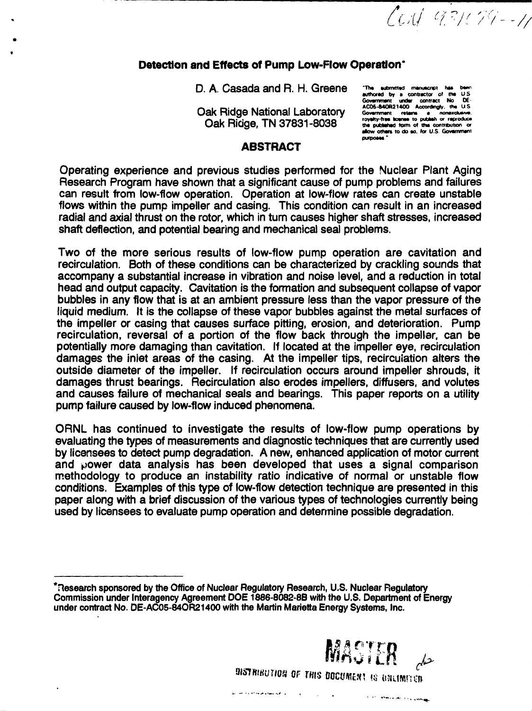Cost 931079-11

#### **Detection and Effects of Pump Low-Flow Operation\***

D. A. Casada and R. H. Greene **The submitted mensionic has b** 

Oak Ridge National Laboratory AUGO-BAURIAU Accordingly, the U.S.<br>
Cash Ridge This CTOO4 0000 southernant retains to publish or reproduce **t~\\*%\y Dirin a T M Q7Q<3i onO D royalty-traa aotnaa to pub\*\* or raproduu**

**Gownnwnt undar contract No 0E- -..\_. . . . .. iii . . AC06-MOR21400 Accordngty. tha US** UCA **I** I I I I I O I OU I OUT OUT THE **allow** others to do so, for U.S. Government<br>
purposes

# **ABSTRACT**

Operating experience and previous studies performed for the Nuclear Plant Aging Research Program have shown that a significant cause of pump problems and failures can result from low-flow operation. Operation at low-flow rates can create unstable flows within the pump impeller and casing. This condition can result in an increased radial and axial thrust on the rotor, which in turn causes higher shaft stresses, increased shaft deflection, and potential bearing and mechanical seal problems.

Two of the more serious results of low-flow pump operation are cavitation and recirculation. Both of these conditions can be characterized by crackling sounds that accompany a substantial increase in vibration and noise level, and a reduction in total head and output capacity. Cavitation is the formation and subsequent collapse of vapor bubbles in any flow that is at an ambient pressure less than the vapor pressure of the liquid medium. It is the collapse of these vapor bubbles against the metal surfaces of the impeller or casing that causes surface pitting, erosion, and deterioration. Pump recirculation, reversal of a portion of the flow back through the impeller, can be potentially more damaging than cavitation. If located at the impeller eye, recirculation damages the inlet areas of the casing. At the impeller tips, recircuiation alters the outside diameter of the impeller. If recirculation occurs around impeller shrouds, it damages thrust bearings. Recirculation also erodes impellers, diffusers, and volutes and causes failure of mechanical seals and bearings. This paper reports on a utility pump failure caused by low-flow induced phenomena.

ORNL has continued to investigate the results of low-flow pump operations by evaluating the types of measurements and diagnostic techniques that are currently used by licensees to detect pump degradation. A new, enhanced application of motor current and power data analysis has been developed that uses a signal comparison methodology to produce an instability ratio indicative of normal or unstable flow conditions. Examples of this type of low-flow detection technique are presented in this paper along with a brief discussion of the various types of technologies currently being used by licensees to evaluate pump operation and determine possible degradation.

**<sup>&#</sup>x27;Research sponsored by the Office of Nuclear Regulatory Research, U.S. Nuclear Regulatory Commission under Interagency Agreement DOE 1886-8082-8B with the U.S. Department of Energy under contract No. DE-AC05-84OR21400 with the Martin Marietta Energy Systems, Inc.**



**Since above the couple** 

**owmwurioi or rws DOWRE»T IS uauwno.**

أنها المستوار المستوصلات والمتعارض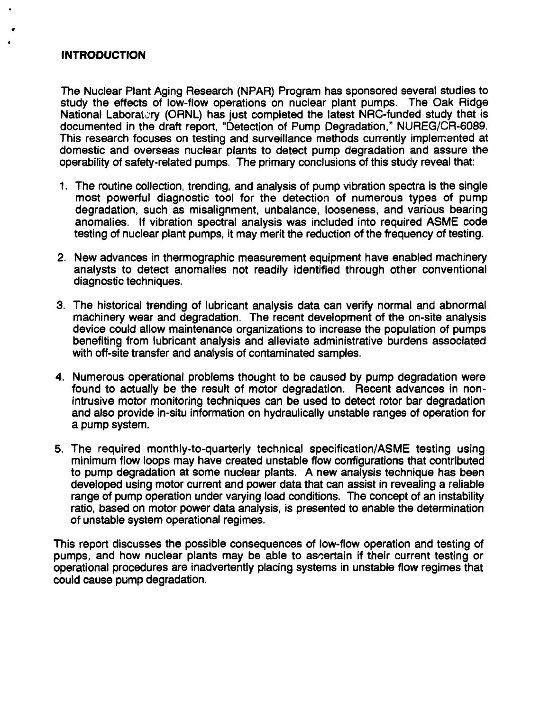#### **INTRODUCTION**

The Nuclear Plant Aging Research (NPAR) Program has sponsored several studies to study the effects of low-flow operations on nuclear plant pumps. The Oak Ridge National Laboratory (ORNL) has just completed the latest NRC-funded study that is documented in the draft report, "Detection of Pump Degradation," NUREG/CR-6089. This research focuses on testing and surveillance methods currently implemented at domestic and overseas nuclear plants to detect pump degradation and assure the operability of safety-related pumps. The primary conclusions of this study reveal that:

- 1. The routine collection, trending, and analysis of pump vibration spectra is the single most powerful diagnostic tool for the detection of numerous types of pump degradation, such as misalignment, unbalance, looseness, and various bearing anomalies. If vibration spectral analysis was included into required ASME code testing of nuclear plant pumps, it may merit the reduction of the frequency of testing.
- 2. New advances in thermographic measurement equipment have enabled machinery analysts to detect anomalies not readily identified through other conventional diagnostic techniques.
- 3. The historical trending of lubricant analysis data can verify normal and abnormal machinery wear and degradation. The recent development of the on-site analysis device could allow maintenance organizations to increase the population of pumps benefiting from lubricant analysis and alleviate administrative burdens associated with off-site transfer and analysis of contaminated samples.
- 4. Numerous operational problems thought to be caused by pump degradation were found to actually be the result of motor degradation. Recent advances in nonintrusive motor monitoring techniques can be used to detect rotor bar degradation and also provide in-situ information on hydraulically unstable ranges of operation for a pump system.
- 5. The required monthly-to-quarterly technical specification/ASME testing using minimum flow loops may have created unstable flow configurations that contributed to pump degradation at some nuclear plants. A new analysis technique has been developed using motor current and power data that can assist in revealing a reliable range of pump operation under varying load conditions. The concept of an instability ratio, based on motor power data analysis, is presented to enable the determination of unstable system operational regimes.

This report discusses the possible consequences of low-flow operation and testing of pumps, and how nuclear plants may be able to ascertain if their current testing or operational procedures are inadvertently placing systems in unstable flow regimes that could cause pump degradation.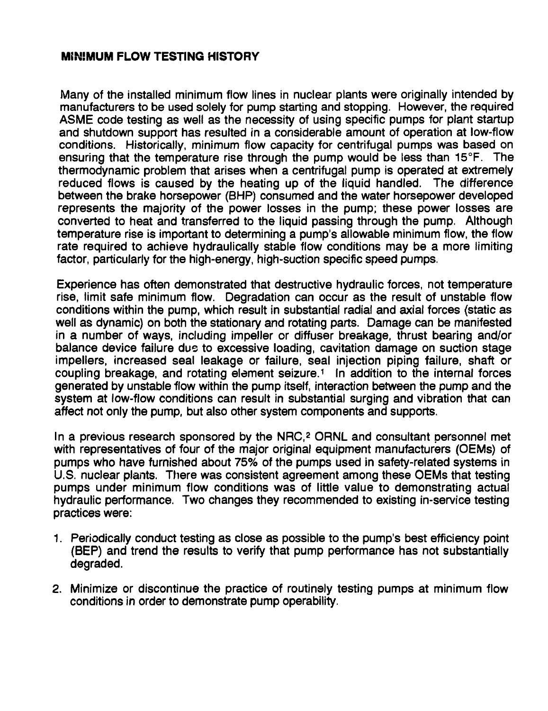## **MiNiMUM FLOW TESTING HISTORY**

Many of the installed minimum flow lines in nuclear plants were originally intended by manufacturers to be used solely for pump starting and stopping. However, the required ASME code testing as well as the necessity of using specific pumps for plant startup and shutdown support has resulted in a considerable amount of operation at low-flow conditions. Historically, minimum flow capacity for centrifugal pumps was based on ensuring that the temperature rise through the pump would be less than 15°F. The thermodynamic problem that arises when a centrifugal pump is operated at extremely reduced flows is caused by the heating up of the liquid handled. The difference between the brake horsepower (BHP) consumed and the water horsepower developed represents the majority of the power losses in the pump; these power losses are converted to heat and transferred to the liquid passing through the pump. Although temperature rise is important to determining a pump's allowable minimum flow, the flow rate required to achieve hydraulically stable flow conditions may be a more limiting factor, particularly for the high-energy, high-suction specific speed pumps.

Experience has often demonstrated that destructive hydraulic forces, not temperature rise, limit safe minimum flow. Degradation can occur as the result of unstable flow conditions within the pump, which result in substantial radial and axial forces (static as well as dynamic) on both the stationary and rotating parts. Damage can be manifested in a number of ways, including impeller or diffuser breakage, thrust bearing and/or balance device failure due to excessive loading, cavitation damage on suction stage impellers, increased seal leakage or failure, seal injection piping failure, shaft or coupling breakage, and rotating element seizure.<sup>1</sup> In addition to the internal forces generated by unstable flow within the pump itself, interaction between the pump and the system at low-flow conditions can result in substantial surging and vibration that can affect not only the pump, but also other system components and supports.

In a previous research sponsored by the NRC,<sup>2</sup> ORNL and consultant personnel met with representatives of four of the major original equipment manufacturers (OEMs) of pumps who have furnished about 75% of the pumps used in safety-related systems in U.S. nuclear plants. There was consistent agreement among these OEMs that testing pumps under minimum flow conditions was of little value to demonstrating actual hydraulic performance. Two changes they recommended to existing in-service testing practices were:

- 1. Periodically conduct testing as close as possible to the pump's best efficiency point (BEP) and trend the results to verify that pump performance has not substantially degraded.
- 2. Minimize or discontinue the practice of routinely testing pumps at minimum flow conditions in order to demonstrate pump operability.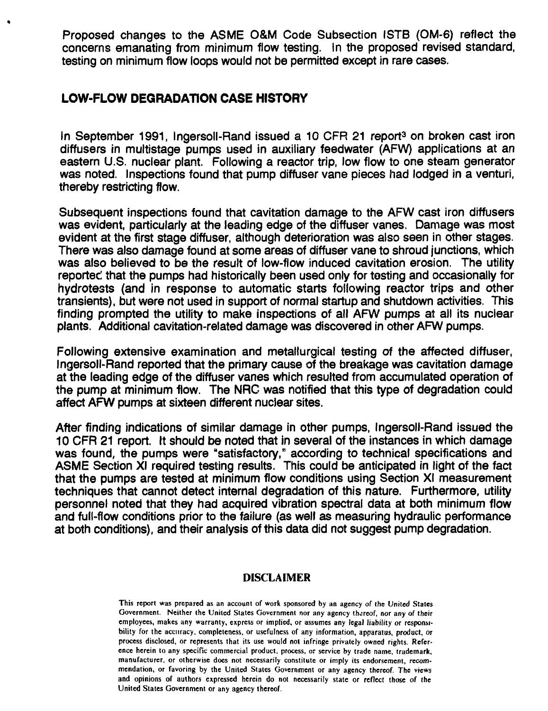Proposed changes to the ASME O&M Code Subsection ISTB (OM-6) reflect the concerns emanating from minimum flow testing. !n the proposed revised standard, testing on minimum flow loops would not be permitted except in rare cases.

# **LOW-FLOW DEGRADATION CASE HISTORY**

In September 1991, Ingersoll-Rand issued a 10 CFR 21 report<sup>3</sup> on broken cast iron diffusers in multistage pumps used in auxiliary feedwater (AFW) applications at an eastern U.S. nuclear plant. Following a reactor trip, low flow to one steam generator was noted. Inspections found that pump diffuser vane pieces had lodged in a venturi, thereby restricting flow.

Subsequent inspections found that cavitation damage to the AFW cast iron diffusers was evident, particularly at the leading edge of the diffuser vanes. Damage was most evident at the first stage diffuser, although deterioration was also seen in other stages. There was also damage found at some areas of diffuser vane to shroud junctions, which was also believed to be the result of low-flow induced cavitation erosion. The utility reported that the pumps had historically been used only for testing and occasionally for hydrotests (and in response to automatic starts following reactor trips and other transients), but were not used in support of normal startup and shutdown activities. This finding prompted the utility to make inspections of all AFW pumps at all its nuclear plants. Additional cavitation-related damage was discovered in other AFW pumps.

Following extensive examination and metallurgical testing of the affected diffuser, Ingersoll-Rand reported that the primary cause of the breakage was cavitation damage at the leading edge of the diffuser vanes which resulted from accumulated operation of the pump at minimum flow. The NRC was notified that this type of degradation could affect AFW pumps at sixteen different nuclear sites.

After finding indications of similar damage in other pumps, Ingersoll-Rand issued the 10 CFR 21 report. It should be noted that in several of the instances in which damage was found, the pumps were "satisfactory," according to technical specifications and ASME Section XI required testing results. This could be anticipated in light of the fact that the pumps are tested at minimum flow conditions using Section XI measurement techniques that cannot detect internal degradation of this nature. Furthermore, utility personnel noted that they had acquired vibration spectraf data at both minimum flow and full-flow conditions prior to the failure (as well as measuring hydraulic performance at both conditions), and their analysis of this data did not suggest pump degradation.

#### **DISCLAIMER**

**This report was prepared as an account of work sponsored by an agency of the United States Government. Neither the United States Government nor any agency thereof, nor any of their employees, makes any warranty, express or implied, or assumes any legal liability** *or* **responsibility for the accuracy, completeness, or usefulness of any information, apparatus, product,** *OT* **process disclosed, or represents that its use would not infringe privately owned rights. Reference herein to any specific commercial product, process, or service by trade name, trademark, manufacturer, or otherwise docs not necessarily constitute or imply its endorsement, recommendation, or favoring by the United States Government or any agency thereof. The views and opinions of authors expressed herein do not necessarily state or reflect those of the United States Government or any agency thereof.**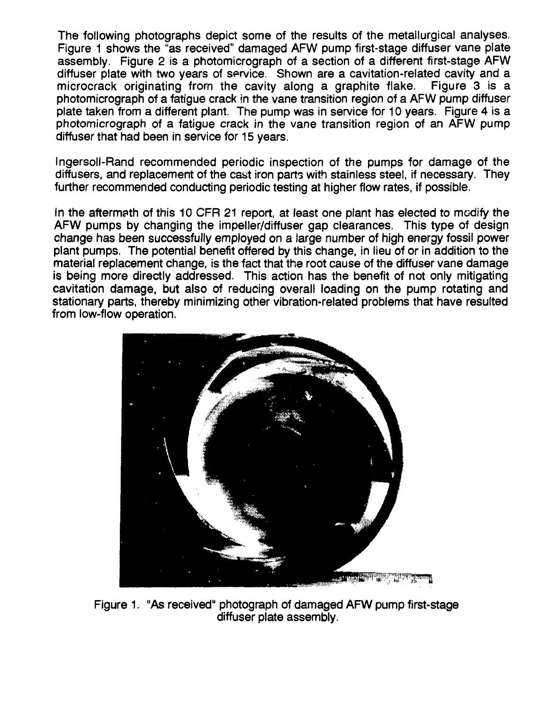The following photographs depict some of the results of the metallurgical analyses. Figure 1 shows the "as received" damaged AFW pump first-stage diffuser vane plate assembly. Figure 2 is a photomicrograph of a section of a different first-stage AFW diffuser plate with two years of service. Shown are a cavitation-related cavity and a microcrack originating from the cavity along a graphite flake. Figure 3 is a photomicrograph of a fatigue crack in the vane transition region of a AFW pump diffuser plate taken from a different plant. The pump was in service for 10 years. Figure 4 is a photomicrograph of a fatigue crack in the vane transition region of an AFW pump diffuser that had been in service for 15 years.

Ingersoll-Rand recommended periodic inspection of the pumps for damage of the diffusers, and replacement of the cast iron parts with stainless steel, if necessary. They further recommended conducting periodic testing at higher flow rates, if possible.

In the aftermath of this 10 CFR 21 report, at least one plant has elected to modify the AFW pumps by changing the impeller/diffuser gap clearances. This type of design change has been successfully employed on a large number of high energy fossil power plant pumps. The potential benefit offered by this change, in lieu of or in addition to the material replacement change, is the fact that the root cause of the diffuser vane damage is being more directly addressed. This action has the benefit of not only mitigating cavitation damage, but also of reducing overall loading on the pump rotating and stationary parts, thereby minimizing other vibration-related problems that have resulted from low-flow operation.



Figure 1. "As received" photograph of damaged AFW pump first-stage diffuser plate assembly.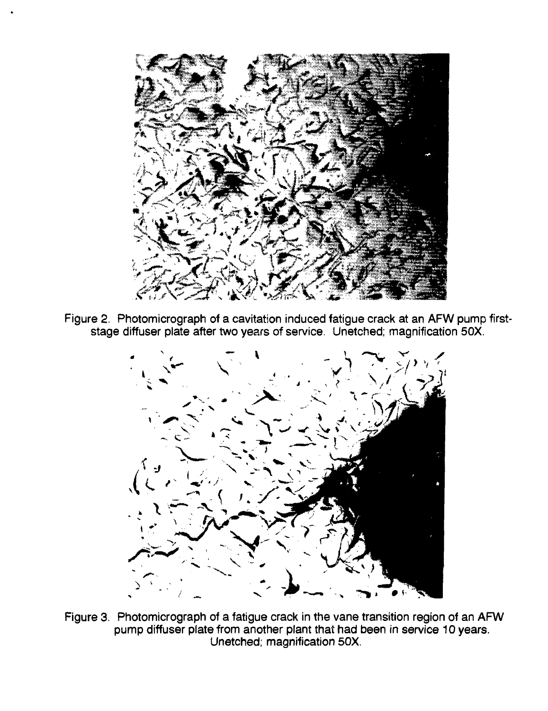

Figure 2. Photomicrograph of a cavitation induced fatigue crack at an AFW pump firststage diffuser plate after two years of service. Unetched; magnification 50X.



Figure 3. Photomicrograph of a fatigue crack in the vane transition region of an AFW pump diffuser plate from another plant that had been in service 10 years. Unetched; magnification 50X.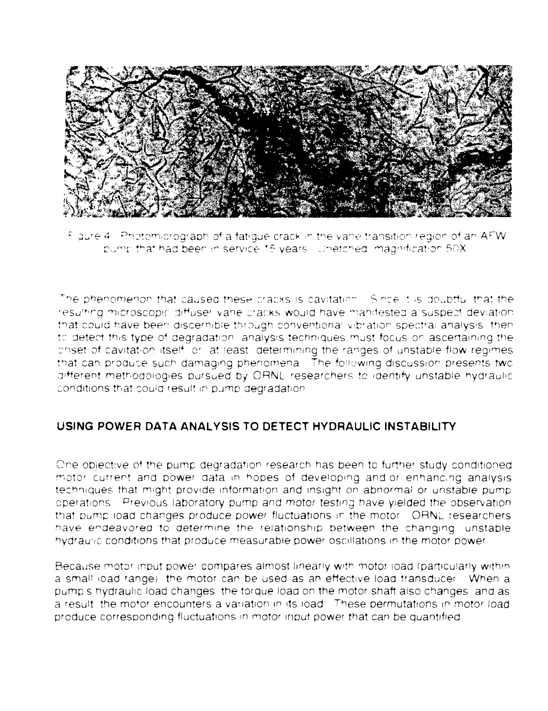

Figure 4. Photomicrograph of a fatigue crack in the vane transition region of an AFW. pump that had been in service 15 years. Unetched, magnification 50X

The phenomenon that caused these cracks is cavitation. Since it is doubtful that the resulting microscopic diffuser vane cracks would have manifested a suspect deviation. that could have been discernible through conventional vibration spectral analysis, then to detect this type of degradation, analysis techniques must focus on ascertaining the children in the children is a subsequent of the control of the canges of unstable flow regimes that can produce such damaging phenomena. The following discussion presents two different methodologies pursued by ORNL researchers to identify unstable hydraulic conditions that could result in pump degradation.

# USING POWER DATA ANALYSIS TO DETECT HYDRAULIC INSTABILITY

One objective of the pump degradation research has been to further study conditioned motor current and power data in hopes of developing and or enhancing analysis techniques that might provide information and insight on abnormal or unstable pump operations. Previous laboratory pump and motor testing have yielded the observation that pump load changes produce power fluctuations in the motor. ORNL researchers have endeavored to determine the relationship between the changing unstable hydraulic conditions that produce measurable power oscillations in the motor power

Because motor input power compares almost linearly with motor load (particularly within a small load range) the motor can be used as an effective load transducer. When a pump's hydraulic load changes the torque load on the motor shaft also changes and as a result, the motor encounters a variation in its load. These permutations in motor load produce corresponding fluctuations in motor input power that can be quantified.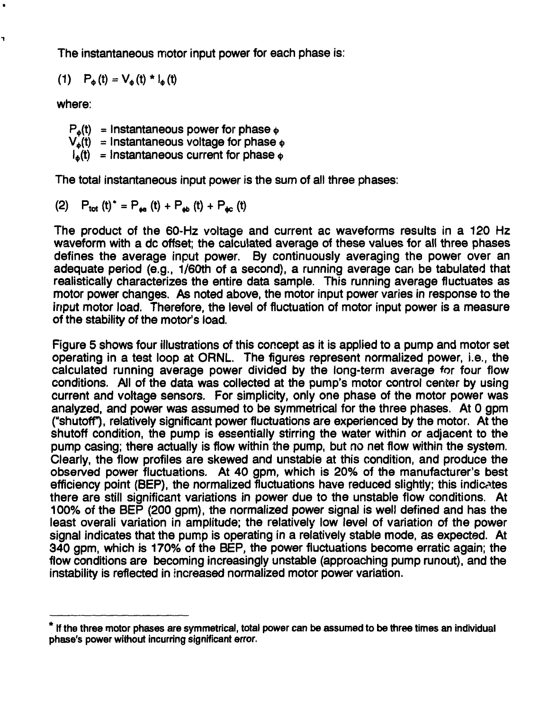The instantaneous motor input power for each phase is:

(1)  $P_{\phi}(t) = V_{\phi}(t) * I_{\phi}(t)$ 

where:

h

 $P_{\phi}(t)$  = Instantaneous power for phase  $\phi$  $V_a(t)$  = Instantaneous voltage for phase  $\phi$  $l_{\lambda}(t)$  = Instantaneous current for phase  $\delta$ 

The total instantaneous input power is the sum of all three phases:

(2)  $P_{tot} (t) = P_{tot} (t) + P_{ab} (t) + P_{dc} (t)$ 

The product of the 60-Hz voltage and current ac waveforms results in a 120 Hz waveform with a dc offset; the calculated average of these values for all three phases defines the average input power. By continuously averaging the power over an adequate period (e.g., 1/60th of a second), a running average can be tabulated that realistically characterizes the entire data sample. This running average fluctuates as motor power changes. As noted above, the motor input power varies in response to the input motor load. Therefore, the level of fluctuation of motor input power is a measure of the stability of the motor's load.

Figure 5 shows four illustrations of this concept as it is applied to a pump and motor set operating in a test loop at ORNL. The figures represent normalized power, i.e., the calculated running average power divided by the long-term average for four flow conditions. All of the data was collected at the pump's motor control center by using current and voltage sensors. For simplicity, only one phase of the motor power was analyzed, and power was assumed to be symmetrical for the three phases. At 0 gpm ("shutoff), relatively significant power fluctuations are experienced by the motor. At the shutoff condition, the pump is essentially stirring the water within or adjacent to the pump casing; there actually is flow within the pump, but no net flow within the system. Clearly, the flow profiles are skewed and unstabie at this condition, and produce the observed power fluctuations. At 40 gpm, which is 20% of the manufacturer's best efficiency point (BEP), the normalized fluctuations have reduced slightly; this indicates there are still significant variations in power due to the unstable flow conditions. At 100% of the BEP (200 gpm), the normalized power signal is well defined and has the least overali variation in amplitude; the relatively low level of variation of the power signal indicates that the pump is operating in a relatively stable mode, as expected. At 340 gpm, which is 170% of the BEP, the power fluctuations become erratic again; the flow conditions are becoming increasingly unstable (approaching pump runout), and the instability is reflected in increased normalized motor power variation.

**<sup>\*</sup> If the three motor phases are symmetrical, total power can be assumed to be three times an individual phase's power without incurring significant error.**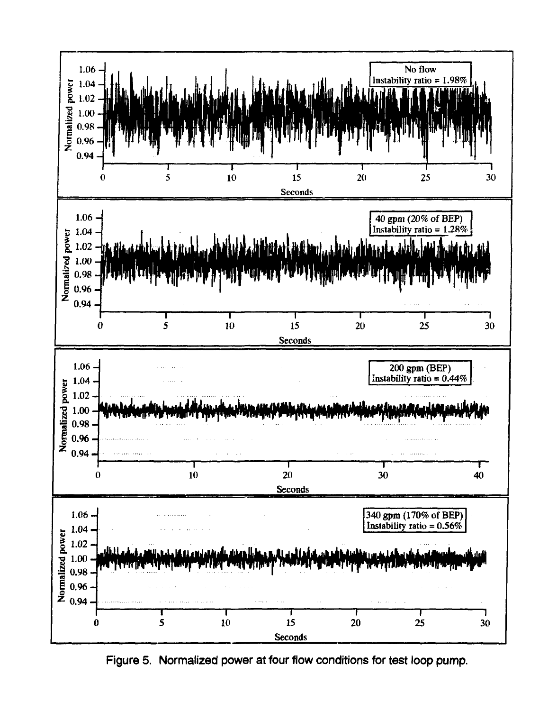

Figure 5. Normalized power at four flow conditions for test loop pump.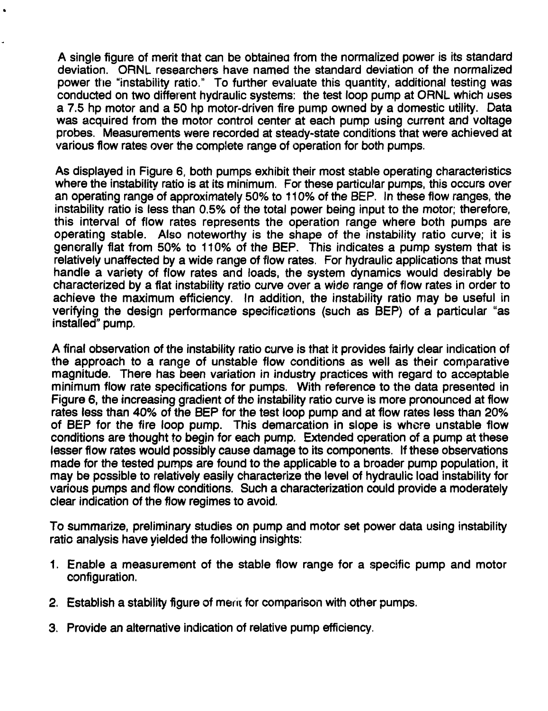A single figure of merit that can be obtained from the normalized power is its standard deviation. ORNL researchers have named the standard deviation of the normalized power the "instability ratio." To further evaluate this quantity, additional testing was conducted on two different hydraulic systems: the test loop pump at ORNL which uses a 7.5 hp motor and a 50 hp motor-driven fire pump owned by a domestic utility. Data was acquired from the motor control center at each pump using current and voltage probes. Measurements were recorded at steady-state conditions that were achieved at various flow rates over the complete range of operation for both pumps.

As displayed in Figure 6, both pumps exhibit their most stable operating characteristics where the instability ratio is at its minimum. For these particular pumps, this occurs over an operating range of approximately 50% to 110% of the BEP. In these flow ranges, the instability ratio is less than 0.5% of the total power being input to the motor; therefore, this interval of flow rates represents the operation range where both pumps are operating stable. Also noteworthy is the shape of the instability ratio curve; it is generally flat from 50% to 110% of the BEP. This indicates a pump system that is relatively unaffected by a wide range of flow rates. For hydraulic applications that must handle a variety of flow rates and loads, the system dynamics would desirably be characterized by a flat instability ratio curve over a wide range of flow rates in order to achieve the maximum efficiency. In addition, the instability ratio may be useful in verifying the design performance specifications (such as BEP) of a particular "as installed" pump.

A final observation of the instability ratio curve is that it provides fairly clear indication of the approach to a range of unstable flow conditions as well as their comparative magnitude. There has been variation in industry practices with regard to acceptable minimum flow rate specifications for pumps. With reference to the data presented in Figure 6, the increasing gradient of the instability ratio curve is more pronounced at flow rates less than 40% of the BEP for the test loop pump and at flow rates less than 20% of BEP for the fire loop pump. This demarcation in slope is where unstable flow conditions are thought to begin for each pump. Extended operation of a pump at these lesser flow rates would possibly cause damage to its components. If these observations made for the tested pumps are found to the applicable to a broader pump population, it may be possible to relatively easily characterize the level of hydraulic load instability for various pumps and flow conditions. Such a characterization could provide a moderately clear indication of the flow regimes to avoid.

To summarize, preliminary studies on pump and motor set power data using instability ratio analysis have yielded the following insights:

- 1. Enable a measurement of the stable flow range for a specific pump and motor configuration.
- 2. Establish a stability figure of merit for comparison with other pumps.
- 3. Provide an alternative indication of relative pump efficiency.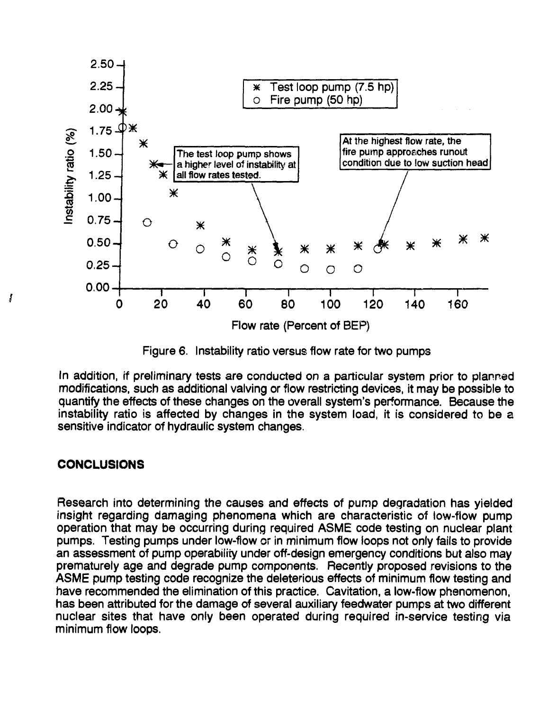![](_page_10_Figure_0.jpeg)

Figure 6. Instability ratio versus flow rate for two pumps

In addition, if preliminary tests are conducted on a particular system prior to planned modifications, such as additional valving or flow restricting devices, it may be possible to quantify the effects of these changes on the overall system's performance. Because the instability ratio is affected by changes in the system load, it is considered to be a sensitive indicator of hydraulic system changes.

# **CONCLUSIONS**

j

Research into determining the causes and effects of pump degradation has yielded insight regarding damaging phenomena which are characteristic of low-flow pump operation that may be occurring during required ASME code testing on nuclear plant pumps. Testing pumps under low-flow or in minimum flow loops not only fails to provide an assessment of pump operability under off-design emergency conditions but also may prematurely age and degrade pump components. Recently proposed revisions to the ASME pump testing code recognize the deleterious effects of minimum flow testing and have recommended the elimination of this practice. Cavitation, a low-flow phenomenon, has been attributed for the damage of several auxiliary feedwater pumps at two different nuclear sites that have only been operated during required in-service testing via minimum flow loops.